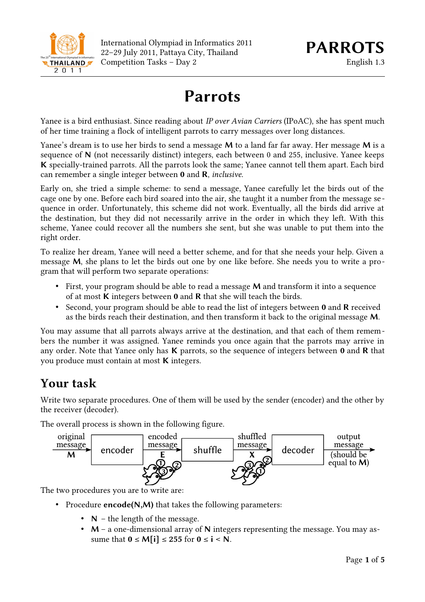

# **Parrots**

Yanee is a bird enthusiast. Since reading about *IP over Avian Carriers* (IPoAC), she has spent much of her time training a flock of intelligent parrots to carry messages over long distances.

Yanee's dream is to use her birds to send a message **M** to a land far far away. Her message **M** is a sequence of **N** (not necessarily distinct) integers, each between 0 and 255, inclusive. Yanee keeps **K** specially-trained parrots. All the parrots look the same; Yanee cannot tell them apart. Each bird can remember a single integer between **0** and **R**, *inclusive*.

Early on, she tried a simple scheme: to send a message, Yanee carefully let the birds out of the cage one by one. Before each bird soared into the air, she taught it a number from the message sequence in order. Unfortunately, this scheme did not work. Eventually, all the birds did arrive at the destination, but they did not necessarily arrive in the order in which they left. With this scheme, Yanee could recover all the numbers she sent, but she was unable to put them into the right order.

To realize her dream, Yanee will need a better scheme, and for that she needs your help. Given a message **M**, she plans to let the birds out one by one like before. She needs you to write a program that will perform two separate operations:

- First, your program should be able to read a message **M** and transform it into a sequence of at most **K** integers between **0** and **R** that she will teach the birds.
- Second, your program should be able to read the list of integers between **0** and **R** received as the birds reach their destination, and then transform it back to the original message **M**.

You may assume that all parrots always arrive at the destination, and that each of them remembers the number it was assigned. Yanee reminds you once again that the parrots may arrive in any order. Note that Yanee only has **K** parrots, so the sequence of integers between **0** and **R** that you produce must contain at most **K** integers.

## **Your task**

Write two separate procedures. One of them will be used by the sender (encoder) and the other by the receiver (decoder).

The overall process is shown in the following figure.



The two procedures you are to write are:

- Procedure **encode(N,M)** that takes the following parameters:
	- **N** the length of the message.
	- **M** a one-dimensional array of **N** integers representing the message. You may assume that  $0 \le M[i] \le 255$  for  $0 \le i \le N$ .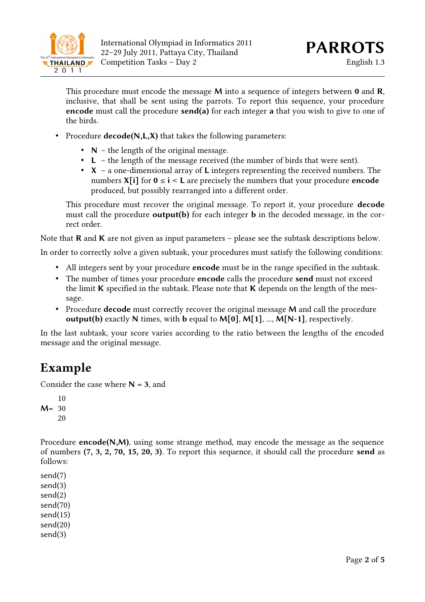

This procedure must encode the message **M** into a sequence of integers between **0** and **R**, inclusive, that shall be sent using the parrots. To report this sequence, your procedure **encode** must call the procedure **send(a)** for each integer **a** that you wish to give to one of the birds.

- Procedure **decode(N,L,X)** that takes the following parameters:
	- **N** the length of the original message.
	- **L** the length of the message received (the number of birds that were sent).
	- **X** a one-dimensional array of **L** integers representing the received numbers. The numbers  $X[i]$  for  $0 \le i \le L$  are precisely the numbers that your procedure **encode** produced, but possibly rearranged into a different order.

This procedure must recover the original message. To report it, your procedure **decode** must call the procedure **output(b)** for each integer **b** in the decoded message, in the correct order.

Note that **R** and **K** are not given as input parameters – please see the subtask descriptions below.

In order to correctly solve a given subtask, your procedures must satisfy the following conditions:

- All integers sent by your procedure **encode** must be in the range specified in the subtask.
- The number of times your procedure **encode** calls the procedure **send** must not exceed the limit **K** specified in the subtask. Please note that **K** depends on the length of the message.
- Procedure **decode** must correctly recover the original message **M** and call the procedure **output(b)** exactly **N** times, with **b** equal to **M[0]**, **M[1]**, ..., **M[N-1]**, respectively.

In the last subtask, your score varies according to the ratio between the lengths of the encoded message and the original message.

### **Example**

Consider the case where  $N = 3$ , and

Procedure **encode(N,M)**, using some strange method, may encode the message as the sequence of numbers **(7, 3, 2, 70, 15, 20, 3)**. To report this sequence, it should call the procedure **send** as follows:

send(7) send(3) send(2) send(70) send(15) send(20) send(3)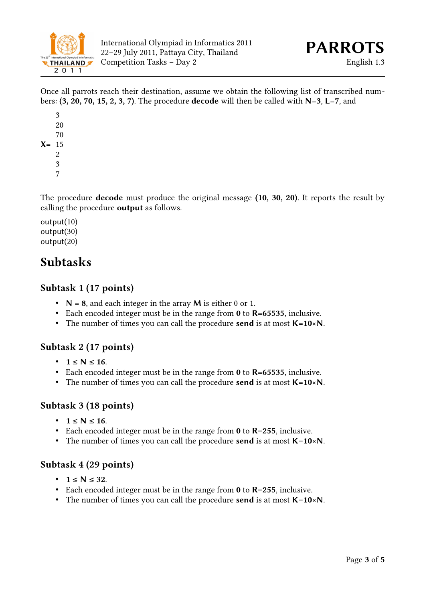

Once all parrots reach their destination, assume we obtain the following list of transcribed numbers: **(3, 20, 70, 15, 2, 3, 7)**. The procedure **decode** will then be called with **N=3**, **L=7**, and

The procedure **decode** must produce the original message **(10, 30, 20)**. It reports the result by calling the procedure **output** as follows.

output(10) output(30) output(20)

## **Subtasks**

#### **Subtask 1 (17 points)**

- **N = 8**, and each integer in the array **M** is either 0 or 1.
- Each encoded integer must be in the range from **0** to **R=65535**, inclusive.
- The number of times you can call the procedure **send** is at most **K=10×N**.

### **Subtask 2 (17 points)**

- **1 ≤ N ≤ 16**.
- Each encoded integer must be in the range from **0** to **R=65535**, inclusive.
- The number of times you can call the procedure **send** is at most **K=10×N**.

#### **Subtask 3 (18 points)**

- **1 ≤ N ≤ 16**.
- Each encoded integer must be in the range from **0** to **R=255**, inclusive.
- The number of times you can call the procedure **send** is at most **K=10×N**.

#### **Subtask 4 (29 points)**

- **1 ≤ N ≤ 32**.
- Each encoded integer must be in the range from **0** to **R=255**, inclusive.
- The number of times you can call the procedure **send** is at most **K=10×N**.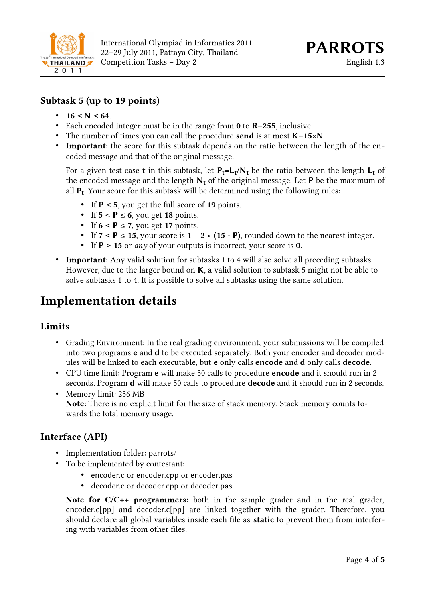

#### **Subtask 5 (up to 19 points)**

- **16 ≤ N ≤ 64**.
- Each encoded integer must be in the range from **0** to **R=255**, inclusive.
- The number of times you can call the procedure **send** is at most **K=15×N**.
- **Important**: the score for this subtask depends on the ratio between the length of the encoded message and that of the original message.

For a given test case **t** in this subtask, let **Pt=Lt /Nt** be the ratio between the length **Lt** of the encoded message and the length **Nt** of the original message. Let **P** be the maximum of all **Pt** . Your score for this subtask will be determined using the following rules:

- If **P** ≤ **5**, you get the full score of **19** points.
- If  $5 < P \le 6$ , you get 18 points.
- If  $6 < P \le 7$ , you get 17 points.
- If  $7 < P \le 15$ , your score is  $1 + 2 \times (15 P)$ , rounded down to the nearest integer.
- If **P** > **15** or *any* of your outputs is incorrect, your score is **0**.
- **Important**: Any valid solution for subtasks 1 to 4 will also solve all preceding subtasks. However, due to the larger bound on **K**, a valid solution to subtask 5 might not be able to solve subtasks 1 to 4. It is possible to solve all subtasks using the same solution.

### **Implementation details**

#### **Limits**

- Grading Environment: In the real grading environment, your submissions will be compiled into two programs **e** and **d** to be executed separately. Both your encoder and decoder modules will be linked to each executable, but **e** only calls **encode** and **d** only calls **decode**.
- CPU time limit: Program **e** will make 50 calls to procedure **encode** and it should run in 2 seconds. Program **d** will make 50 calls to procedure **decode** and it should run in 2 seconds.
- Memory limit: 256 MB **Note:** There is no explicit limit for the size of stack memory. Stack memory counts towards the total memory usage.

#### **Interface (API)**

- Implementation folder: parrots/
- To be implemented by contestant:
	- encoder.c or encoder.cpp or encoder.pas
	- decoder.c or decoder.cpp or decoder.pas

**Note for C/C++ programmers:** both in the sample grader and in the real grader, encoder.c[pp] and decoder.c[pp] are linked together with the grader. Therefore, you should declare all global variables inside each file as **static** to prevent them from interfering with variables from other files.